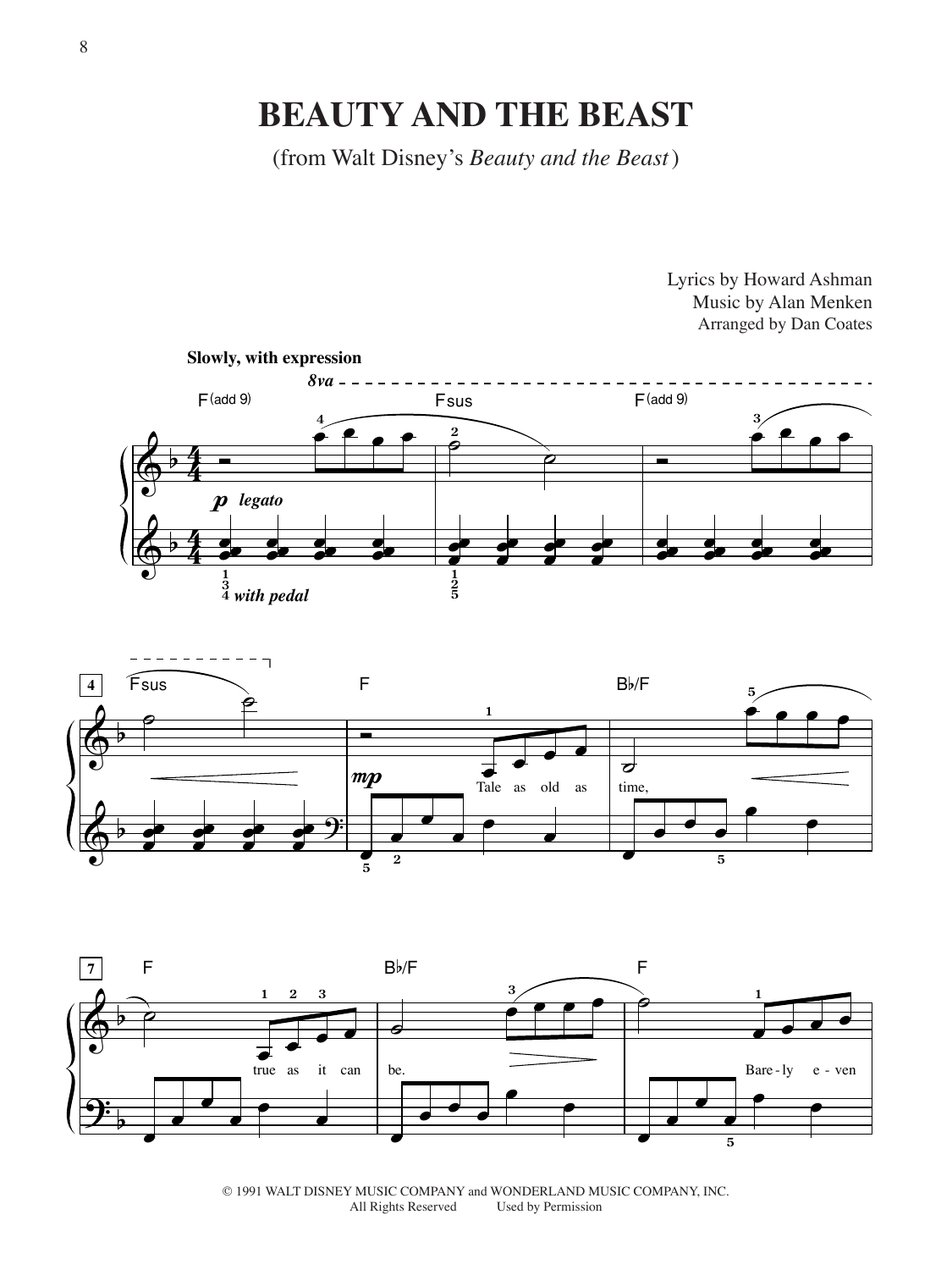## **BEAUTY AND THE BEAST**

(from Walt Disney's *Beauty and the Beast*)



Lyrics by Howard Ashman





© 1991 WALT DISNEY MUSIC COMPANY and WONDERLAND MUSIC COMPANY, INC. Used by Permission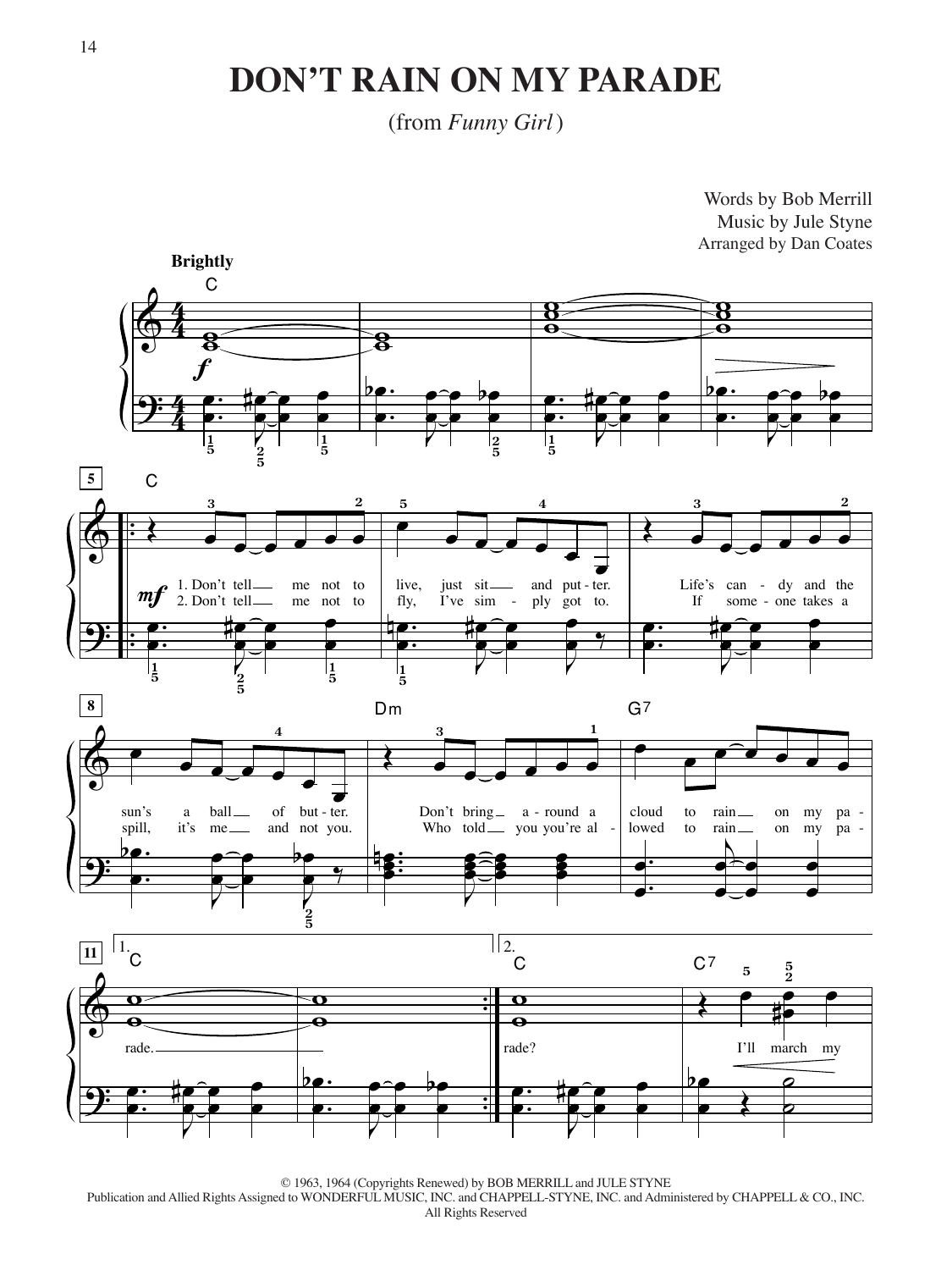#### **DON'T RAIN ON MY PARADE**

(from *Funny Girl*)



© 1963, 1964 (Copyrights Renewed) by BOB MERRILL and JULE STYNE Publication and Allied Rights Assigned to WONDERFUL MUSIC, INC. and CHAPPELL-STYNE, INC. and Administered by CHAPPELL & CO., INC. All Rights Reserved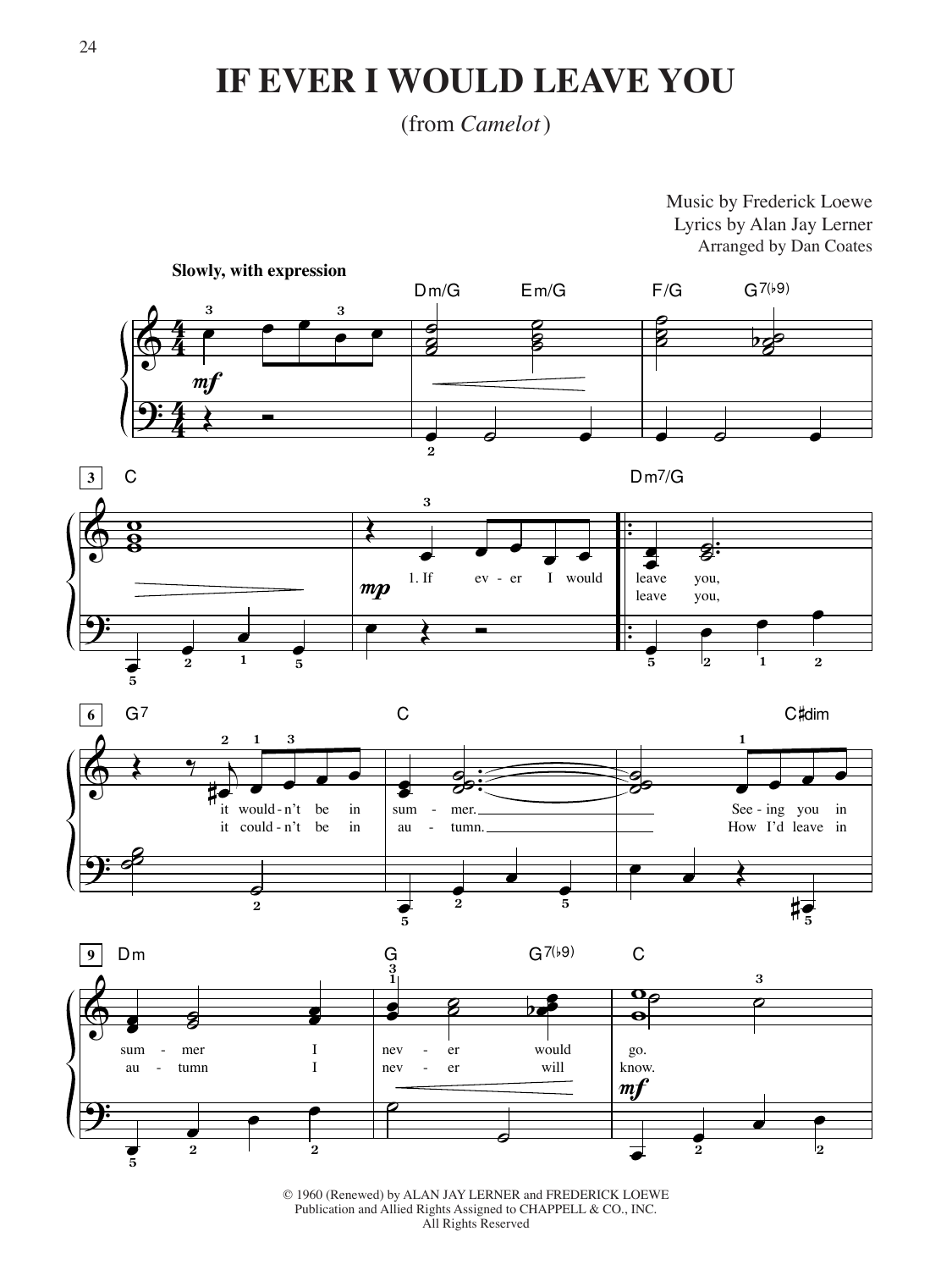## **IF EVER I WOULD LEAVE YOU**

#### (from *Camelot*)

Music by Frederick Loewe Lyrics by Alan Jay Lerner Arranged by Dan Coates



<sup>© 1960 (</sup>Renewed) by ALAN JAY LERNER and FREDERICK LOEWE Publication and Allied Rights Assigned to CHAPPELL & CO., INC. All Rights Reserved

œ

**2**

**2**